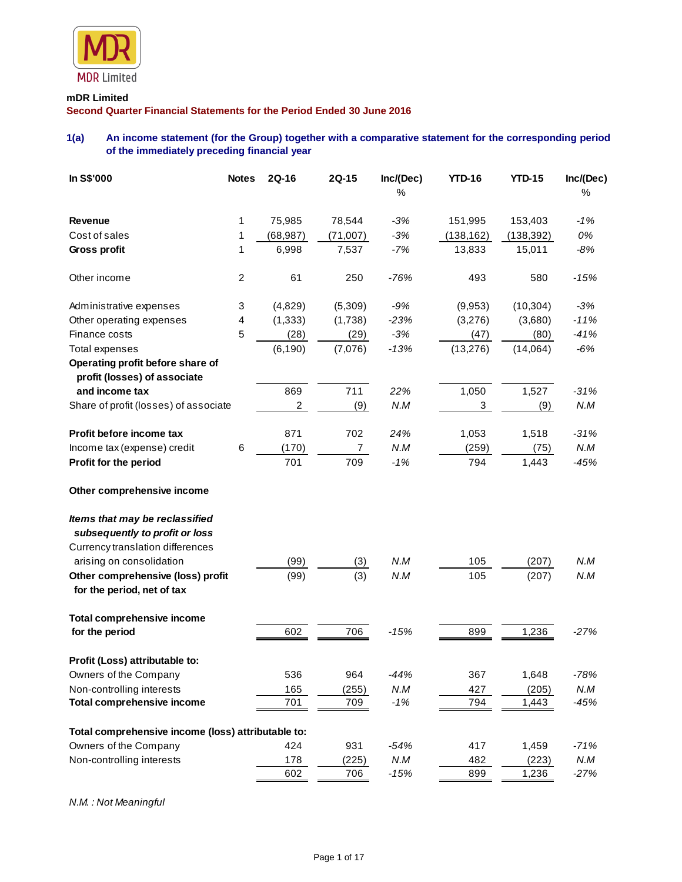

### **mDR Limited**

**Second Quarter Financial Statements for the Period Ended 30 June 2016**

# **1(a) An income statement (for the Group) together with a comparative statement for the corresponding period of the immediately preceding financial year**

| In S\$'000                                                       | <b>Notes</b>   | 2Q-16                   | 2Q-15          | Inc/(Dec) | <b>YTD-16</b> | <b>YTD-15</b> | Inc/(Dec) |
|------------------------------------------------------------------|----------------|-------------------------|----------------|-----------|---------------|---------------|-----------|
|                                                                  |                |                         |                | %         |               |               | %         |
| <b>Revenue</b>                                                   | 1              | 75,985                  | 78,544         | $-3%$     | 151,995       | 153,403       | $-1%$     |
| Cost of sales                                                    | 1              | (68, 987)               | (71,007)       | $-3%$     | (138, 162)    | (138, 392)    | 0%        |
| Gross profit                                                     | 1              | 6,998                   | 7,537          | $-7%$     | 13,833        | 15,011        | $-8%$     |
| Other income                                                     | $\overline{c}$ | 61                      | 250            | $-76%$    | 493           | 580           | $-15%$    |
| Administrative expenses                                          | 3              | (4,829)                 | (5,309)        | $-9%$     | (9,953)       | (10, 304)     | $-3%$     |
| Other operating expenses                                         | 4              | (1, 333)                | (1,738)        | $-23%$    | (3,276)       | (3,680)       | $-11%$    |
| Finance costs                                                    | 5              | (28)                    | (29)           | $-3%$     | (47)          | (80)          | $-41%$    |
| <b>Total expenses</b>                                            |                | (6, 190)                | (7,076)        | $-13%$    | (13, 276)     | (14,064)      | $-6%$     |
| Operating profit before share of                                 |                |                         |                |           |               |               |           |
| profit (losses) of associate                                     |                |                         |                |           |               |               |           |
| and income tax                                                   |                | 869                     | 711            | 22%       | 1,050         | 1,527         | $-31%$    |
| Share of profit (losses) of associate                            |                | $\overline{\mathbf{c}}$ | (9)            | N.M       | 3             | (9)           | $N.M$     |
| Profit before income tax                                         |                | 871                     | 702            | 24%       | 1,053         | 1,518         | $-31%$    |
| Income tax (expense) credit                                      | 6              | (170)                   | $\overline{7}$ | N.M       | (259)         | (75)          | N.M       |
| Profit for the period                                            |                | 701                     | 709            | $-1%$     | 794           | 1,443         | $-45%$    |
| Other comprehensive income                                       |                |                         |                |           |               |               |           |
| Items that may be reclassified<br>subsequently to profit or loss |                |                         |                |           |               |               |           |
| Currency translation differences                                 |                |                         |                |           |               |               |           |
| arising on consolidation                                         |                | (99)                    |                | N.M       | 105           | (207)         | N.M       |
| Other comprehensive (loss) profit                                |                | (99)                    | (3)<br>(3)     | N.M       | 105           | (207)         | N.M       |
| for the period, net of tax                                       |                |                         |                |           |               |               |           |
| <b>Total comprehensive income</b>                                |                |                         |                |           |               |               |           |
| for the period                                                   |                | 602                     | 706            | $-15%$    | 899           | 1,236         | $-27%$    |
| Profit (Loss) attributable to:                                   |                |                         |                |           |               |               |           |
| Owners of the Company                                            |                | 536                     | 964            | -44%      | 367           | 1,648         | -78%      |
| Non-controlling interests                                        |                | 165                     | (255)          | N.M       | 427           | (205)         | N.M       |
| <b>Total comprehensive income</b>                                |                | 701                     | 709            | $-1%$     | 794           | 1,443         | $-45%$    |
| Total comprehensive income (loss) attributable to:               |                |                         |                |           |               |               |           |
| Owners of the Company                                            |                | 424                     | 931            | $-54%$    | 417           | 1,459         | $-71%$    |
| Non-controlling interests                                        |                | 178                     | (225)          | $N.M$     | 482           | (223)         | N.M       |
|                                                                  |                | 602                     | 706            | $-15%$    | 899           | 1,236         | $-27%$    |

*N.M. : Not Meaningful*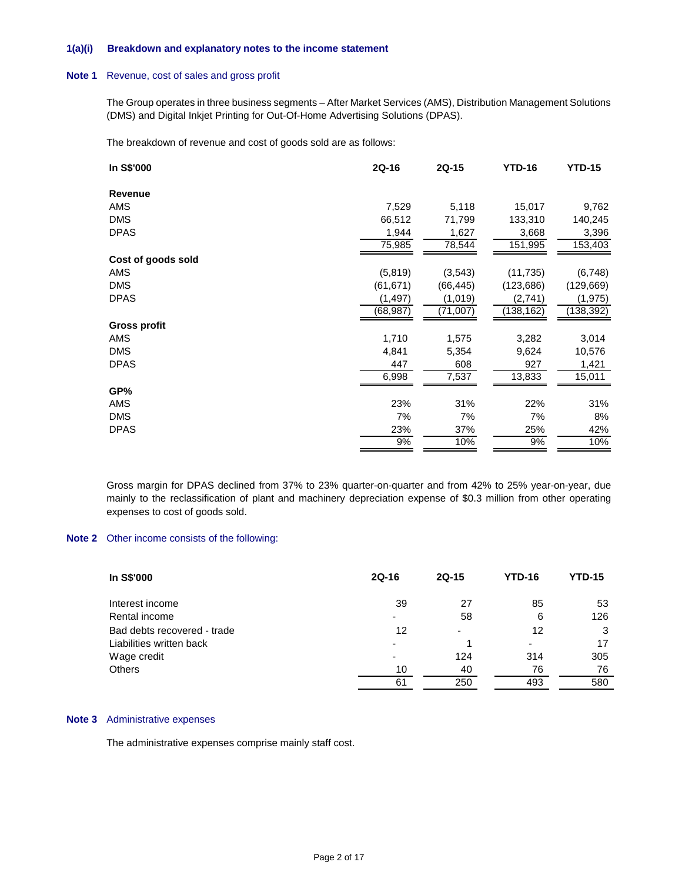### **1(a)(i) Breakdown and explanatory notes to the income statement**

#### **Note 1** Revenue, cost of sales and gross profit

The Group operates in three business segments – After Market Services (AMS), Distribution Management Solutions (DMS) and Digital Inkjet Printing for Out-Of-Home Advertising Solutions (DPAS).

The breakdown of revenue and cost of goods sold are as follows:

| In S\$'000          | 2Q-16     | 2Q-15     | <b>YTD-16</b> | <b>YTD-15</b> |
|---------------------|-----------|-----------|---------------|---------------|
| Revenue             |           |           |               |               |
| AMS                 | 7,529     | 5,118     | 15,017        | 9,762         |
| <b>DMS</b>          | 66,512    | 71,799    | 133,310       | 140,245       |
| <b>DPAS</b>         | 1,944     | 1,627     | 3,668         | 3,396         |
|                     | 75,985    | 78,544    | 151,995       | 153,403       |
| Cost of goods sold  |           |           |               |               |
| AMS                 | (5,819)   | (3,543)   | (11, 735)     | (6, 748)      |
| <b>DMS</b>          | (61, 671) | (66, 445) | (123, 686)    | (129, 669)    |
| <b>DPAS</b>         | (1, 497)  | (1,019)   | (2,741)       | (1, 975)      |
|                     | (68,987)  | (71,007)  | (138,162)     | (138,392)     |
| <b>Gross profit</b> |           |           |               |               |
| AMS                 | 1,710     | 1,575     | 3,282         | 3,014         |
| <b>DMS</b>          | 4,841     | 5,354     | 9,624         | 10,576        |
| <b>DPAS</b>         | 447       | 608       | 927           | 1,421         |
|                     | 6,998     | 7,537     | 13,833        | 15,011        |
| GP%                 |           |           |               |               |
| AMS                 | 23%       | 31%       | 22%           | 31%           |
| <b>DMS</b>          | 7%        | 7%        | 7%            | 8%            |
| <b>DPAS</b>         | 23%       | 37%       | 25%           | 42%           |
|                     | 9%        | 10%       | 9%            | 10%           |

Gross margin for DPAS declined from 37% to 23% quarter-on-quarter and from 42% to 25% year-on-year, due mainly to the reclassification of plant and machinery depreciation expense of \$0.3 million from other operating expenses to cost of goods sold.

## **Note 2** Other income consists of the following:

| In S\$'000                  | 2Q-16 | $2Q-15$ | <b>YTD-16</b> | <b>YTD-15</b> |
|-----------------------------|-------|---------|---------------|---------------|
| Interest income             | 39    | 27      | 85            | 53            |
| Rental income               | ۰     | 58      | 6             | 126           |
| Bad debts recovered - trade | 12    | -       | 12            | 3             |
| Liabilities written back    | ٠     |         | ٠             | 17            |
| Wage credit                 | ۰     | 124     | 314           | 305           |
| <b>Others</b>               | 10    | 40      | 76            | 76            |
|                             | 61    | 250     | 493           | 580           |

#### **Note 3** Administrative expenses

The administrative expenses comprise mainly staff cost.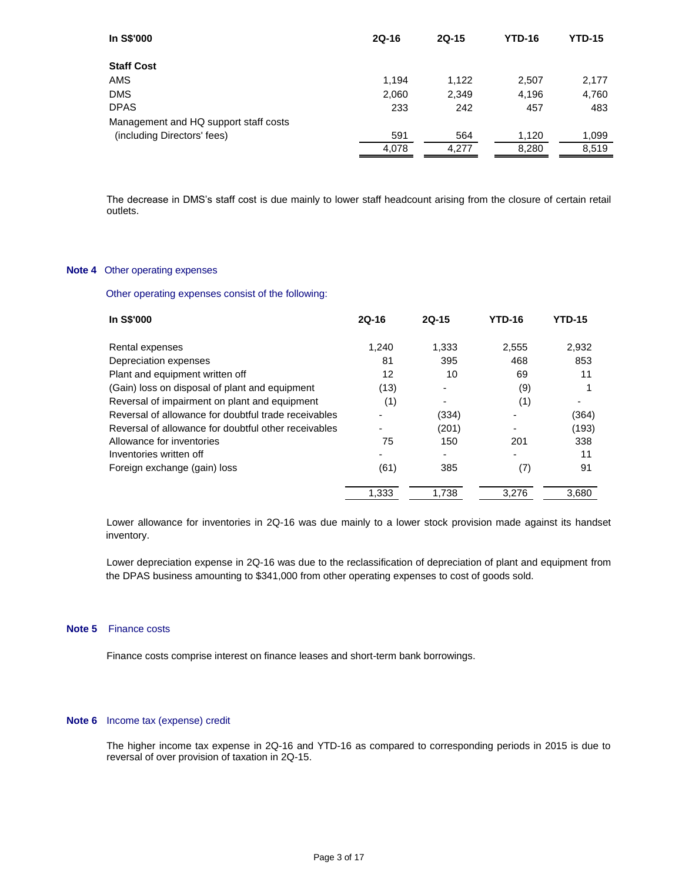| In S\$'000                            | $2Q-16$ | $2Q-15$ | <b>YTD-16</b> | <b>YTD-15</b> |
|---------------------------------------|---------|---------|---------------|---------------|
| <b>Staff Cost</b>                     |         |         |               |               |
| AMS                                   | 1.194   | 1,122   | 2,507         | 2,177         |
| <b>DMS</b>                            | 2,060   | 2,349   | 4,196         | 4,760         |
| <b>DPAS</b>                           | 233     | 242     | 457           | 483           |
| Management and HQ support staff costs |         |         |               |               |
| (including Directors' fees)           | 591     | 564     | 1.120         | 1,099         |
|                                       | 4,078   | 4,277   | 8,280         | 8,519         |

The decrease in DMS's staff cost is due mainly to lower staff headcount arising from the closure of certain retail outlets.

# **Note 4** Other operating expenses

Other operating expenses consist of the following:

| In S\$'000                                           | $2Q-16$ | $2Q-15$ | <b>YTD-16</b> | <b>YTD-15</b> |
|------------------------------------------------------|---------|---------|---------------|---------------|
| Rental expenses                                      | 1.240   | 1,333   | 2,555         | 2,932         |
| Depreciation expenses                                | 81      | 395     | 468           | 853           |
| Plant and equipment written off                      | 12      | 10      | 69            | 11            |
| (Gain) loss on disposal of plant and equipment       | (13)    |         | (9)           |               |
| Reversal of impairment on plant and equipment        | (1)     |         | (1)           |               |
| Reversal of allowance for doubtful trade receivables |         | (334)   |               | (364)         |
| Reversal of allowance for doubtful other receivables |         | (201)   |               | (193)         |
| Allowance for inventories                            | 75      | 150     | 201           | 338           |
| Inventories written off                              |         |         |               | 11            |
| Foreign exchange (gain) loss                         | (61)    | 385     | (7)           | 91            |
|                                                      | 1.333   | 1.738   | 3.276         | 3.680         |

Lower allowance for inventories in 2Q-16 was due mainly to a lower stock provision made against its handset inventory.

Lower depreciation expense in 2Q-16 was due to the reclassification of depreciation of plant and equipment from the DPAS business amounting to \$341,000 from other operating expenses to cost of goods sold.

## **Note 5** Finance costs

Finance costs comprise interest on finance leases and short-term bank borrowings.

#### **Note 6** Income tax (expense) credit

The higher income tax expense in 2Q-16 and YTD-16 as compared to corresponding periods in 2015 is due to reversal of over provision of taxation in 2Q-15.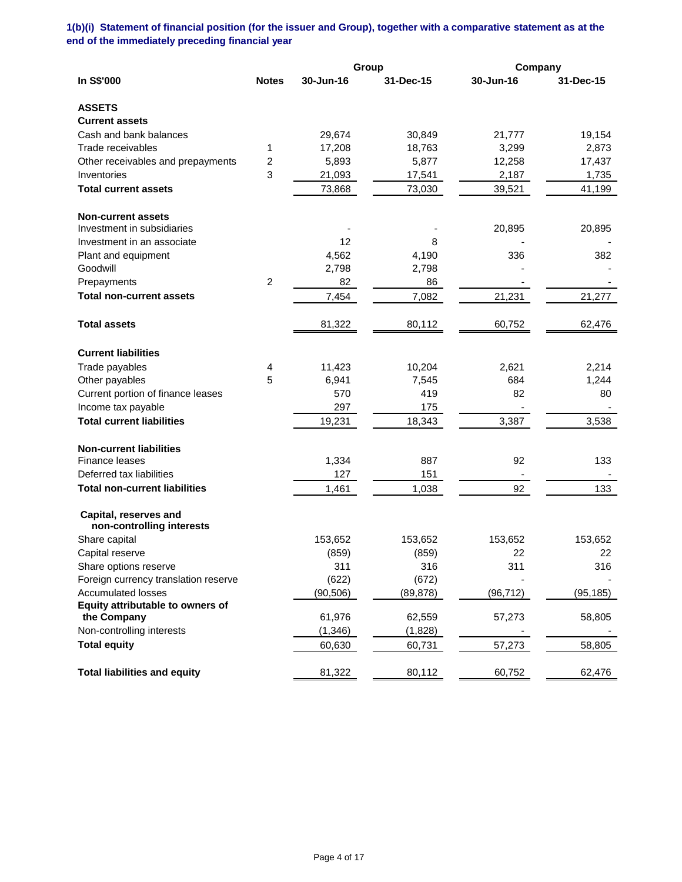# **1(b)(i) Statement of financial position (for the issuer and Group), together with a comparative statement as at the end of the immediately preceding financial year**

|                                                    |                |           | Group     | Company   |           |
|----------------------------------------------------|----------------|-----------|-----------|-----------|-----------|
| In S\$'000                                         | <b>Notes</b>   | 30-Jun-16 | 31-Dec-15 | 30-Jun-16 | 31-Dec-15 |
| <b>ASSETS</b>                                      |                |           |           |           |           |
| <b>Current assets</b>                              |                |           |           |           |           |
| Cash and bank balances                             |                | 29,674    | 30,849    | 21,777    | 19,154    |
| Trade receivables                                  | 1              | 17,208    | 18,763    | 3,299     | 2,873     |
| Other receivables and prepayments                  | 2              | 5,893     | 5,877     | 12,258    | 17,437    |
| Inventories                                        | 3              | 21,093    | 17,541    | 2,187     | 1,735     |
| <b>Total current assets</b>                        |                | 73,868    | 73,030    | 39,521    | 41,199    |
| <b>Non-current assets</b>                          |                |           |           |           |           |
| Investment in subsidiaries                         |                |           |           | 20,895    | 20,895    |
| Investment in an associate                         |                | 12        | 8         |           |           |
| Plant and equipment                                |                | 4,562     | 4,190     | 336       | 382       |
| Goodwill                                           |                | 2,798     | 2,798     |           |           |
| Prepayments                                        | $\overline{c}$ | 82        | 86        |           |           |
| <b>Total non-current assets</b>                    |                | 7,454     | 7,082     | 21,231    | 21,277    |
| <b>Total assets</b>                                |                | 81,322    | 80,112    | 60,752    | 62,476    |
| <b>Current liabilities</b>                         |                |           |           |           |           |
| Trade payables                                     | 4              | 11,423    | 10,204    | 2,621     | 2,214     |
| Other payables                                     | 5              | 6,941     | 7,545     | 684       | 1,244     |
| Current portion of finance leases                  |                | 570       | 419       | 82        | 80        |
| Income tax payable                                 |                | 297       | 175       |           |           |
| <b>Total current liabilities</b>                   |                | 19,231    | 18,343    | 3,387     | 3,538     |
| <b>Non-current liabilities</b>                     |                |           |           |           |           |
| Finance leases                                     |                | 1,334     | 887       | 92        | 133       |
| Deferred tax liabilities                           |                | 127       | 151       |           |           |
| <b>Total non-current liabilities</b>               |                | 1,461     | 1,038     | 92        | 133       |
| Capital, reserves and<br>non-controlling interests |                |           |           |           |           |
| Share capital                                      |                | 153,652   | 153,652   | 153,652   | 153,652   |
| Capital reserve                                    |                | (859)     | (859)     | 22        | 22        |
| Share options reserve                              |                | 311       | 316       | 311       | 316       |
| Foreign currency translation reserve               |                | (622)     | (672)     |           |           |
| <b>Accumulated losses</b>                          |                | (90, 506) | (89, 878) | (96, 712) | (95, 185) |
| Equity attributable to owners of                   |                |           |           |           |           |
| the Company                                        |                | 61,976    | 62,559    | 57,273    | 58,805    |
| Non-controlling interests                          |                | (1, 346)  | (1,828)   |           |           |
| <b>Total equity</b>                                |                | 60,630    | 60,731    | 57,273    | 58,805    |
| <b>Total liabilities and equity</b>                |                | 81,322    | 80,112    | 60,752    | 62,476    |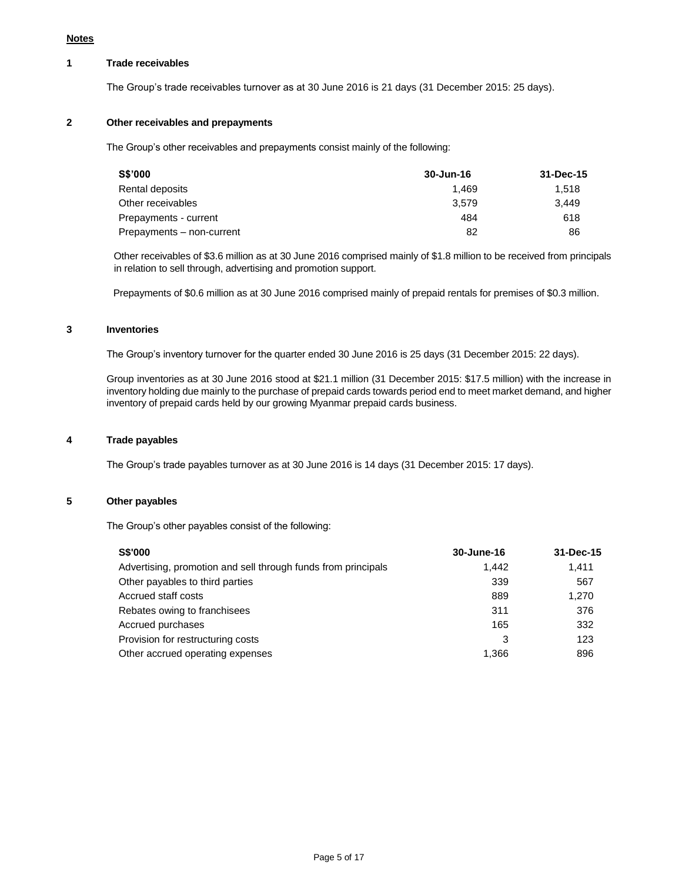# **1 Trade receivables**

The Group's trade receivables turnover as at 30 June 2016 is 21 days (31 December 2015: 25 days).

## **2 Other receivables and prepayments**

The Group's other receivables and prepayments consist mainly of the following:

| S\$'000                   | 30-Jun-16 | 31-Dec-15 |
|---------------------------|-----------|-----------|
| Rental deposits           | 1.469     | 1.518     |
| Other receivables         | 3.579     | 3.449     |
| Prepayments - current     | 484       | 618       |
| Prepayments - non-current | 82        | 86        |

Other receivables of \$3.6 million as at 30 June 2016 comprised mainly of \$1.8 million to be received from principals in relation to sell through, advertising and promotion support.

Prepayments of \$0.6 million as at 30 June 2016 comprised mainly of prepaid rentals for premises of \$0.3 million.

### **3 Inventories**

The Group's inventory turnover for the quarter ended 30 June 2016 is 25 days (31 December 2015: 22 days).

Group inventories as at 30 June 2016 stood at \$21.1 million (31 December 2015: \$17.5 million) with the increase in inventory holding due mainly to the purchase of prepaid cards towards period end to meet market demand, and higher inventory of prepaid cards held by our growing Myanmar prepaid cards business.

### **4 Trade payables**

The Group's trade payables turnover as at 30 June 2016 is 14 days (31 December 2015: 17 days).

### **5 Other payables**

The Group's other payables consist of the following:

| <b>S\$'000</b>                                                | 30-June-16 | 31-Dec-15 |
|---------------------------------------------------------------|------------|-----------|
| Advertising, promotion and sell through funds from principals | 1.442      | 1.411     |
| Other payables to third parties                               | 339        | 567       |
| Accrued staff costs                                           | 889        | 1,270     |
| Rebates owing to franchisees                                  | 311        | 376       |
| Accrued purchases                                             | 165        | 332       |
| Provision for restructuring costs                             | 3          | 123       |
| Other accrued operating expenses                              | 1,366      | 896       |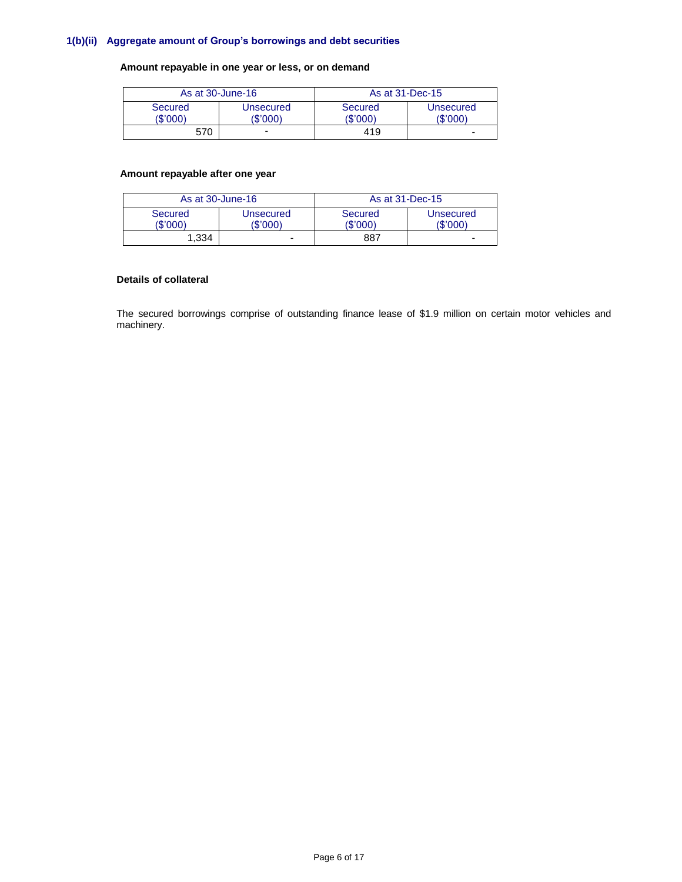### **1(b)(ii) Aggregate amount of Group's borrowings and debt securities**

### **Amount repayable in one year or less, or on demand**

| As at 30-June-16           |                      | As at 31-Dec-15            |                       |
|----------------------------|----------------------|----------------------------|-----------------------|
| <b>Secured</b><br>(\$'000) | Unsecured<br>(\$'000 | <b>Secured</b><br>(\$'000) | Unsecured<br>(\$'000) |
| 570                        | -                    | 419                        | -                     |

### **Amount repayable after one year**

| As at 30-June-16    |                       | As at 31-Dec-15     |                       |  |
|---------------------|-----------------------|---------------------|-----------------------|--|
| Secured<br>(\$'000) | Unsecured<br>(\$'000) | Secured<br>(\$'000) | Unsecured<br>(\$'000) |  |
| 1.334               | -                     | 887                 | -                     |  |

### **Details of collateral**

The secured borrowings comprise of outstanding finance lease of \$1.9 million on certain motor vehicles and machinery.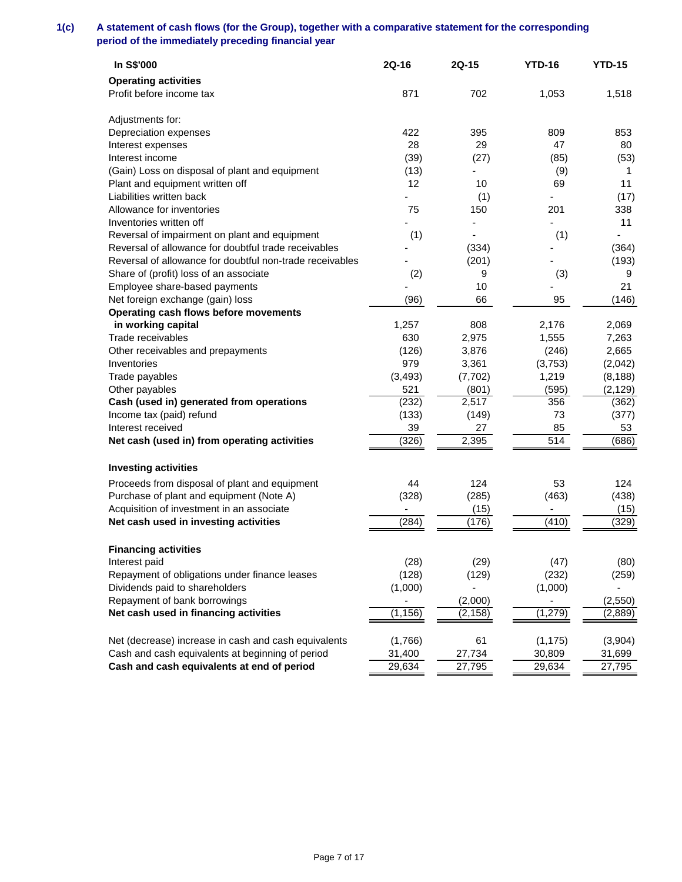# **1(c) A statement of cash flows (for the Group), together with a comparative statement for the corresponding period of the immediately preceding financial year**

| In S\$'000                                                                                         | 2Q-16                    | 2Q-15    | <b>YTD-16</b>                | <b>YTD-15</b> |
|----------------------------------------------------------------------------------------------------|--------------------------|----------|------------------------------|---------------|
| <b>Operating activities</b>                                                                        |                          |          |                              |               |
| Profit before income tax                                                                           | 871                      | 702      | 1,053                        | 1,518         |
| Adjustments for:                                                                                   |                          |          |                              |               |
| Depreciation expenses                                                                              | 422                      | 395      | 809                          | 853           |
| Interest expenses                                                                                  | 28                       | 29       | 47                           | 80            |
| Interest income                                                                                    | (39)                     | (27)     | (85)                         | (53)          |
| (Gain) Loss on disposal of plant and equipment                                                     | (13)                     |          | (9)                          | 1             |
| Plant and equipment written off                                                                    | 12                       | 10       | 69                           | 11            |
| Liabilities written back                                                                           |                          | (1)      |                              | (17)          |
| Allowance for inventories                                                                          | 75                       | 150      | 201                          | 338           |
| Inventories written off                                                                            |                          |          |                              | 11            |
| Reversal of impairment on plant and equipment                                                      | (1)                      |          | (1)                          |               |
| Reversal of allowance for doubtful trade receivables                                               |                          | (334)    |                              | (364)         |
| Reversal of allowance for doubtful non-trade receivables<br>Share of (profit) loss of an associate |                          | (201)    |                              | (193)         |
|                                                                                                    | (2)                      | 9<br>10  | (3)                          | 9<br>21       |
| Employee share-based payments<br>Net foreign exchange (gain) loss                                  | (96)                     | 66       | 95                           | (146)         |
| Operating cash flows before movements                                                              |                          |          |                              |               |
| in working capital                                                                                 | 1,257                    | 808      | 2,176                        | 2,069         |
| Trade receivables                                                                                  | 630                      | 2,975    | 1,555                        | 7,263         |
| Other receivables and prepayments                                                                  | (126)                    | 3,876    | (246)                        | 2,665         |
| Inventories                                                                                        | 979                      | 3,361    | (3,753)                      | (2,042)       |
| Trade payables                                                                                     | (3, 493)                 | (7, 702) | 1,219                        | (8, 188)      |
| Other payables                                                                                     | 521                      | (801)    | (595)                        | (2, 129)      |
| Cash (used in) generated from operations                                                           | (232)                    | 2,517    | 356                          | (362)         |
| Income tax (paid) refund                                                                           | (133)                    | (149)    | 73                           | (377)         |
| Interest received                                                                                  | 39                       | 27       | 85                           | 53            |
| Net cash (used in) from operating activities                                                       | (326)                    | 2,395    | $\overline{514}$             | (686)         |
| <b>Investing activities</b>                                                                        |                          |          |                              |               |
| Proceeds from disposal of plant and equipment                                                      | 44                       | 124      | 53                           | 124           |
| Purchase of plant and equipment (Note A)                                                           | (328)                    | (285)    | (463)                        | (438)         |
| Acquisition of investment in an associate                                                          | $\overline{\phantom{a}}$ | (15)     | $\qquad \qquad \blacksquare$ | (15)          |
| Net cash used in investing activities                                                              | (284)                    | (176)    | (410)                        | (329)         |
| <b>Financing activities</b>                                                                        |                          |          |                              |               |
| Interest paid                                                                                      | (28)                     | (29)     | (47)                         | (80)          |
| Repayment of obligations under finance leases                                                      | (128)                    | (129)    | (232)                        | (259)         |
| Dividends paid to shareholders                                                                     | (1,000)                  | ٠        | (1,000)                      |               |
| Repayment of bank borrowings                                                                       |                          | (2,000)  |                              | (2, 550)      |
| Net cash used in financing activities                                                              | (1, 156)                 | (2, 158) | (1, 279)                     | (2,889)       |
| Net (decrease) increase in cash and cash equivalents                                               | (1,766)                  | 61       | (1, 175)                     | (3,904)       |
| Cash and cash equivalents at beginning of period                                                   | 31,400                   | 27,734   | 30,809                       | 31,699        |
| Cash and cash equivalents at end of period                                                         | 29,634                   | 27,795   | 29,634                       | 27,795        |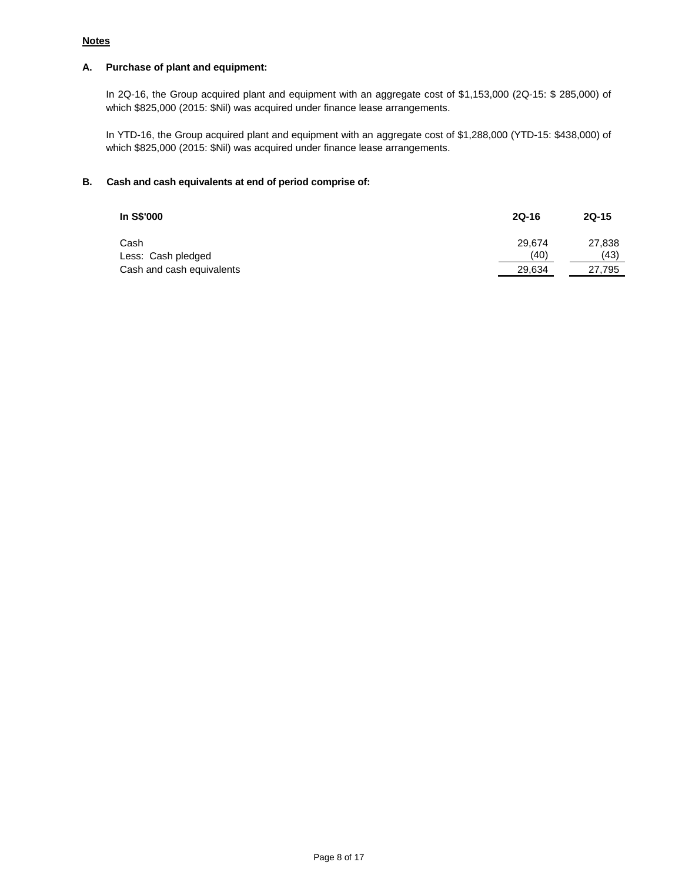## **Notes**

## **A. Purchase of plant and equipment:**

In 2Q-16, the Group acquired plant and equipment with an aggregate cost of \$1,153,000 (2Q-15: \$ 285,000) of which \$825,000 (2015: \$Nil) was acquired under finance lease arrangements.

In YTD-16, the Group acquired plant and equipment with an aggregate cost of \$1,288,000 (YTD-15: \$438,000) of which \$825,000 (2015: \$Nil) was acquired under finance lease arrangements.

## **B. Cash and cash equivalents at end of period comprise of:**

| In S\$'000                | 2Q-16  | $2Q-15$ |
|---------------------------|--------|---------|
| Cash                      | 29.674 | 27,838  |
| Less: Cash pledged        | (40)   | (43)    |
| Cash and cash equivalents | 29,634 | 27,795  |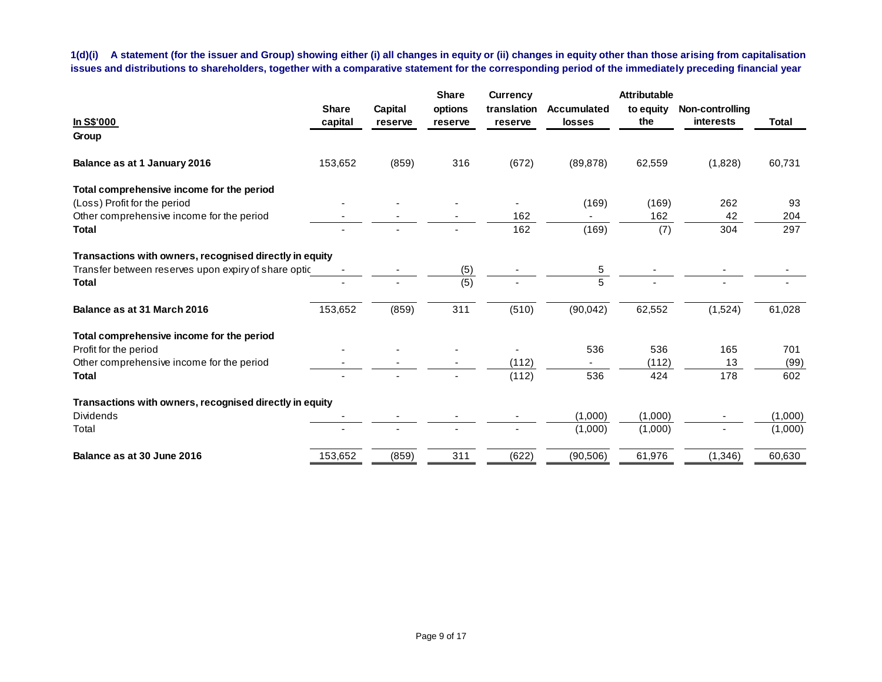**1(d)(i) A statement (for the issuer and Group) showing either (i) all changes in equity or (ii) changes in equity other than those arising from capitalisation issues and distributions to shareholders, together with a comparative statement for the corresponding period of the immediately preceding financial year**

|                                                         |              |         | <b>Share</b> | <b>Currency</b> |                    | <b>Attributable</b> |                 |              |
|---------------------------------------------------------|--------------|---------|--------------|-----------------|--------------------|---------------------|-----------------|--------------|
|                                                         | <b>Share</b> | Capital | options      | translation     | <b>Accumulated</b> | to equity           | Non-controlling |              |
| In S\$'000                                              | capital      | reserve | reserve      | reserve         | losses             | the                 | interests       | <b>Total</b> |
| Group                                                   |              |         |              |                 |                    |                     |                 |              |
| Balance as at 1 January 2016                            | 153,652      | (859)   | 316          | (672)           | (89, 878)          | 62,559              | (1,828)         | 60,731       |
| Total comprehensive income for the period               |              |         |              |                 |                    |                     |                 |              |
| (Loss) Profit for the period                            |              |         |              |                 | (169)              | (169)               | 262             | 93           |
| Other comprehensive income for the period               |              |         |              | 162             |                    | 162                 | 42              | 204          |
| <b>Total</b>                                            |              |         |              | 162             | (169)              | (7)                 | 304             | 297          |
| Transactions with owners, recognised directly in equity |              |         |              |                 |                    |                     |                 |              |
| Transfer between reserves upon expiry of share optic    |              |         | (5)          |                 | 5                  |                     |                 |              |
| <b>Total</b>                                            |              |         | (5)          |                 | 5                  |                     |                 |              |
| Balance as at 31 March 2016                             | 153,652      | (859)   | 311          | (510)           | (90, 042)          | 62,552              | (1,524)         | 61,028       |
| Total comprehensive income for the period               |              |         |              |                 |                    |                     |                 |              |
| Profit for the period                                   |              |         |              |                 | 536                | 536                 | 165             | 701          |
| Other comprehensive income for the period               |              |         |              | (112)           |                    | (112)               | 13              | (99)         |
| <b>Total</b>                                            |              |         |              | (112)           | 536                | 424                 | 178             | 602          |
| Transactions with owners, recognised directly in equity |              |         |              |                 |                    |                     |                 |              |
| <b>Dividends</b>                                        |              |         |              |                 | (1,000)            | (1,000)             |                 | (1,000)      |
| Total                                                   |              |         |              |                 | (1,000)            | (1,000)             |                 | (1,000)      |
| Balance as at 30 June 2016                              | 153,652      | (859)   | 311          | (622)           | (90, 506)          | 61,976              | (1,346)         | 60,630       |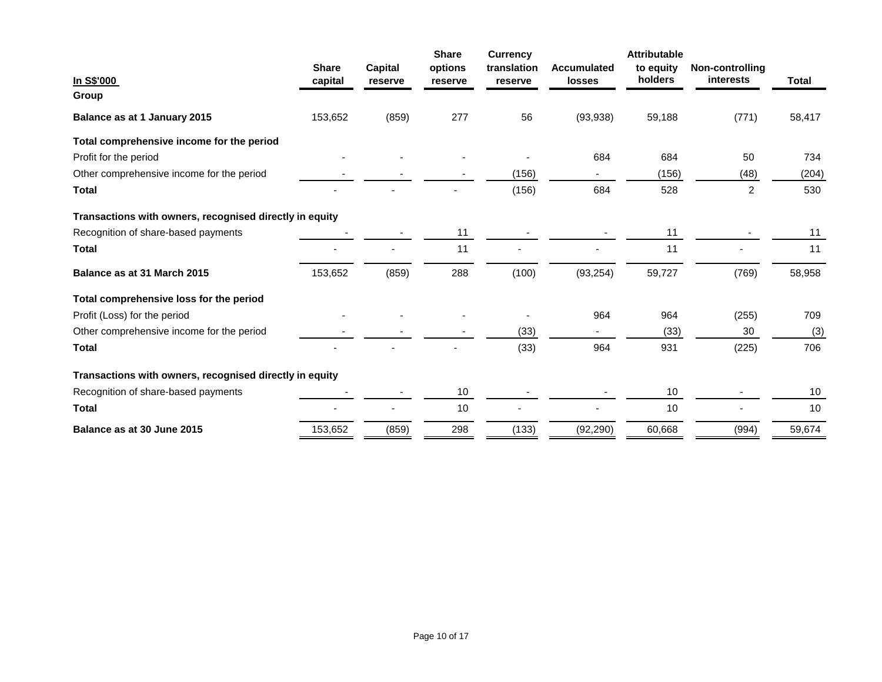|                                                         |                         |                    | <b>Share</b>       | <b>Currency</b>        |                                     | <b>Attributable</b>  |                                     |        |
|---------------------------------------------------------|-------------------------|--------------------|--------------------|------------------------|-------------------------------------|----------------------|-------------------------------------|--------|
| In S\$'000                                              | <b>Share</b><br>capital | Capital<br>reserve | options<br>reserve | translation<br>reserve | <b>Accumulated</b><br><b>losses</b> | to equity<br>holders | Non-controlling<br><i>interests</i> | Total  |
| Group                                                   |                         |                    |                    |                        |                                     |                      |                                     |        |
| Balance as at 1 January 2015                            | 153,652                 | (859)              | 277                | 56                     | (93, 938)                           | 59,188               | (771)                               | 58,417 |
| Total comprehensive income for the period               |                         |                    |                    |                        |                                     |                      |                                     |        |
| Profit for the period                                   |                         |                    |                    |                        | 684                                 | 684                  | 50                                  | 734    |
| Other comprehensive income for the period               |                         |                    |                    | (156)                  |                                     | (156)                | (48)                                | (204)  |
| <b>Total</b>                                            |                         |                    |                    | (156)                  | 684                                 | 528                  | $\overline{2}$                      | 530    |
| Transactions with owners, recognised directly in equity |                         |                    |                    |                        |                                     |                      |                                     |        |
| Recognition of share-based payments                     |                         |                    | 11                 |                        |                                     | 11                   |                                     | 11     |
| <b>Total</b>                                            |                         |                    | 11                 |                        |                                     | 11                   |                                     | 11     |
| Balance as at 31 March 2015                             | 153,652                 | (859)              | 288                | (100)                  | (93, 254)                           | 59,727               | (769)                               | 58,958 |
| Total comprehensive loss for the period                 |                         |                    |                    |                        |                                     |                      |                                     |        |
| Profit (Loss) for the period                            |                         |                    |                    |                        | 964                                 | 964                  | (255)                               | 709    |
| Other comprehensive income for the period               |                         |                    |                    | (33)                   | $\sim$                              | (33)                 | 30                                  | (3)    |
| <b>Total</b>                                            |                         |                    |                    | (33)                   | 964                                 | 931                  | (225)                               | 706    |
| Transactions with owners, recognised directly in equity |                         |                    |                    |                        |                                     |                      |                                     |        |
| Recognition of share-based payments                     |                         |                    | 10                 |                        |                                     | 10                   |                                     | 10     |
| <b>Total</b>                                            |                         |                    | 10                 |                        |                                     | 10                   |                                     | 10     |
| Balance as at 30 June 2015                              | 153,652                 | (859)              | 298                | (133)                  | (92, 290)                           | 60,668               | (994)                               | 59,674 |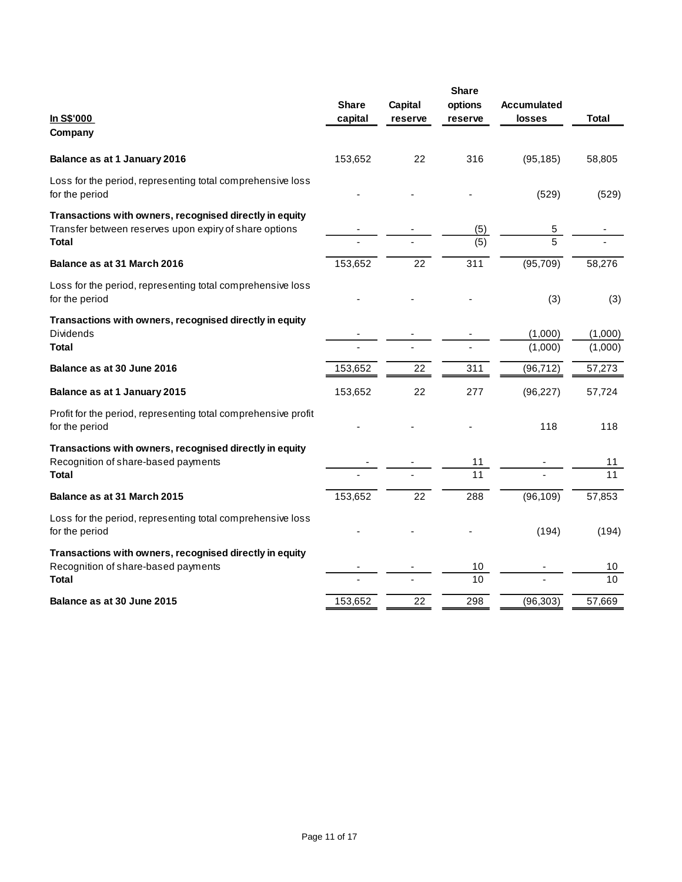| In S\$'000<br>Company                                                                                                             | <b>Share</b><br>capital | <b>Capital</b><br>reserve | <b>Share</b><br>options<br>reserve | <b>Accumulated</b><br><b>losses</b> | Total              |
|-----------------------------------------------------------------------------------------------------------------------------------|-------------------------|---------------------------|------------------------------------|-------------------------------------|--------------------|
| Balance as at 1 January 2016                                                                                                      | 153,652                 | 22                        | 316                                | (95, 185)                           | 58,805             |
| Loss for the period, representing total comprehensive loss<br>for the period                                                      |                         |                           |                                    | (529)                               | (529)              |
| Transactions with owners, recognised directly in equity<br>Transfer between reserves upon expiry of share options<br><b>Total</b> |                         |                           | (5)<br>(5)                         | 5<br>5                              |                    |
| Balance as at 31 March 2016                                                                                                       | 153,652                 | 22                        | 311                                | (95, 709)                           | 58,276             |
| Loss for the period, representing total comprehensive loss<br>for the period                                                      |                         |                           |                                    | (3)                                 | (3)                |
| Transactions with owners, recognised directly in equity<br><b>Dividends</b><br><b>Total</b>                                       |                         |                           |                                    | (1,000)<br>(1,000)                  | (1,000)<br>(1,000) |
| Balance as at 30 June 2016                                                                                                        | 153,652                 | 22                        | 311                                | (96, 712)                           | 57,273             |
| Balance as at 1 January 2015                                                                                                      | 153,652                 | 22                        | 277                                | (96, 227)                           | 57,724             |
| Profit for the period, representing total comprehensive profit<br>for the period                                                  |                         |                           |                                    | 118                                 | 118                |
| Transactions with owners, recognised directly in equity<br>Recognition of share-based payments<br><b>Total</b>                    |                         |                           | 11<br>11                           |                                     | 11<br>11           |
| Balance as at 31 March 2015                                                                                                       | 153,652                 | 22                        | 288                                | (96, 109)                           | 57,853             |
| Loss for the period, representing total comprehensive loss<br>for the period                                                      |                         |                           |                                    | (194)                               | (194)              |
| Transactions with owners, recognised directly in equity<br>Recognition of share-based payments<br>Total                           |                         |                           | 10<br>$\overline{10}$              |                                     | 10<br>10           |
| Balance as at 30 June 2015                                                                                                        | 153,652                 | 22                        | 298                                | (96, 303)                           | 57,669             |
|                                                                                                                                   |                         |                           |                                    |                                     |                    |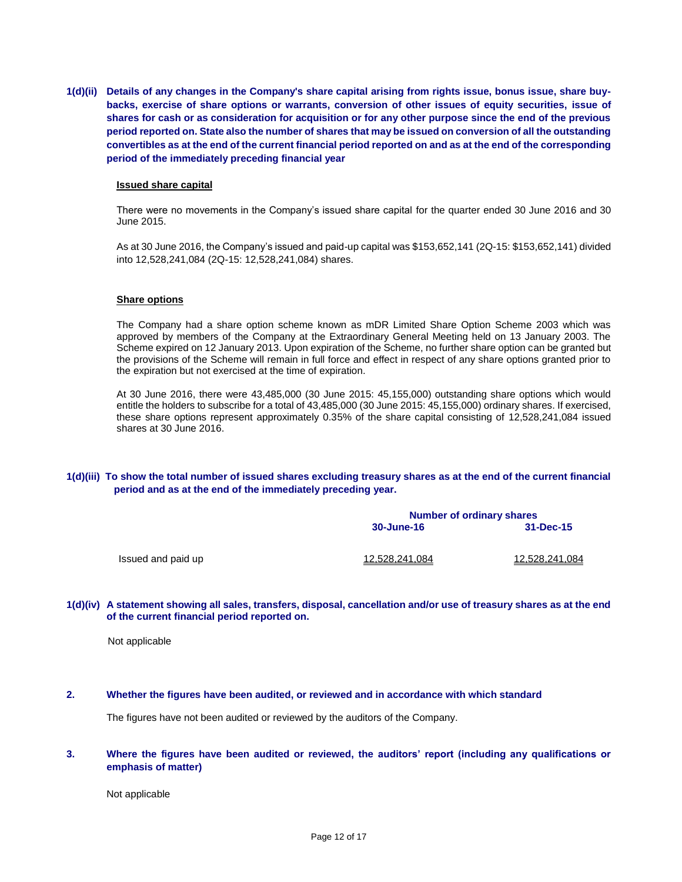**1(d)(ii) Details of any changes in the Company's share capital arising from rights issue, bonus issue, share buybacks, exercise of share options or warrants, conversion of other issues of equity securities, issue of shares for cash or as consideration for acquisition or for any other purpose since the end of the previous period reported on. State also the number of shares that may be issued on conversion of all the outstanding convertibles as at the end of the current financial period reported on and as at the end of the corresponding period of the immediately preceding financial year**

#### **Issued share capital**

There were no movements in the Company's issued share capital for the quarter ended 30 June 2016 and 30 June 2015.

As at 30 June 2016, the Company's issued and paid-up capital was \$153,652,141 (2Q-15: \$153,652,141) divided into 12,528,241,084 (2Q-15: 12,528,241,084) shares.

#### **Share options**

The Company had a share option scheme known as mDR Limited Share Option Scheme 2003 which was approved by members of the Company at the Extraordinary General Meeting held on 13 January 2003. The Scheme expired on 12 January 2013. Upon expiration of the Scheme, no further share option can be granted but the provisions of the Scheme will remain in full force and effect in respect of any share options granted prior to the expiration but not exercised at the time of expiration.

At 30 June 2016, there were 43,485,000 (30 June 2015: 45,155,000) outstanding share options which would entitle the holders to subscribe for a total of 43,485,000 (30 June 2015: 45,155,000) ordinary shares. If exercised, these share options represent approximately 0.35% of the share capital consisting of 12,528,241,084 issued shares at 30 June 2016.

### **1(d)(iii) To show the total number of issued shares excluding treasury shares as at the end of the current financial period and as at the end of the immediately preceding year.**

|                    | <b>Number of ordinary shares</b> |                |  |
|--------------------|----------------------------------|----------------|--|
|                    | 30-June-16                       | 31-Dec-15      |  |
| Issued and paid up | 12,528,241,084                   | 12,528,241,084 |  |

#### **1(d)(iv) A statement showing all sales, transfers, disposal, cancellation and/or use of treasury shares as at the end of the current financial period reported on.**

Not applicable

#### **2. Whether the figures have been audited, or reviewed and in accordance with which standard**

The figures have not been audited or reviewed by the auditors of the Company.

### **3. Where the figures have been audited or reviewed, the auditors' report (including any qualifications or emphasis of matter)**

Not applicable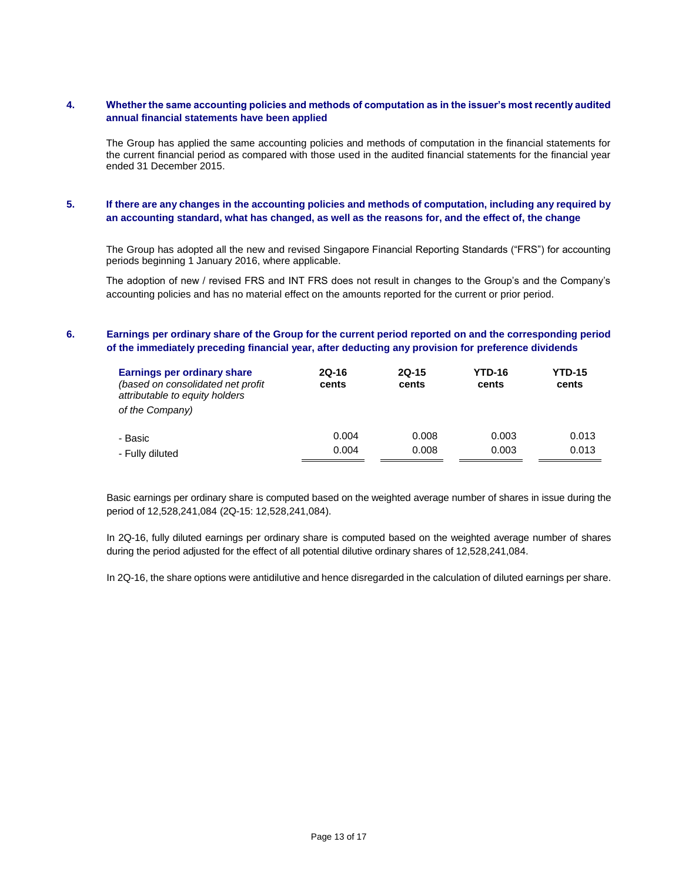## **4. Whether the same accounting policies and methods of computation as in the issuer's most recently audited annual financial statements have been applied**

The Group has applied the same accounting policies and methods of computation in the financial statements for the current financial period as compared with those used in the audited financial statements for the financial year ended 31 December 2015.

## **5. If there are any changes in the accounting policies and methods of computation, including any required by an accounting standard, what has changed, as well as the reasons for, and the effect of, the change**

The Group has adopted all the new and revised Singapore Financial Reporting Standards ("FRS") for accounting periods beginning 1 January 2016, where applicable.

The adoption of new / revised FRS and INT FRS does not result in changes to the Group's and the Company's accounting policies and has no material effect on the amounts reported for the current or prior period.

### **6. Earnings per ordinary share of the Group for the current period reported on and the corresponding period of the immediately preceding financial year, after deducting any provision for preference dividends**

| <b>Earnings per ordinary share</b><br>(based on consolidated net profit<br>attributable to equity holders<br>of the Company) | $2Q-16$<br>cents | $2Q-15$<br>cents | YTD-16<br>cents | <b>YTD-15</b><br>cents |
|------------------------------------------------------------------------------------------------------------------------------|------------------|------------------|-----------------|------------------------|
| - Basic                                                                                                                      | 0.004            | 0.008            | 0.003           | 0.013                  |
| - Fully diluted                                                                                                              | 0.004            | 0.008            | 0.003           | 0.013                  |

Basic earnings per ordinary share is computed based on the weighted average number of shares in issue during the period of 12,528,241,084 (2Q-15: 12,528,241,084).

In 2Q-16, fully diluted earnings per ordinary share is computed based on the weighted average number of shares during the period adjusted for the effect of all potential dilutive ordinary shares of 12,528,241,084.

In 2Q-16, the share options were antidilutive and hence disregarded in the calculation of diluted earnings per share.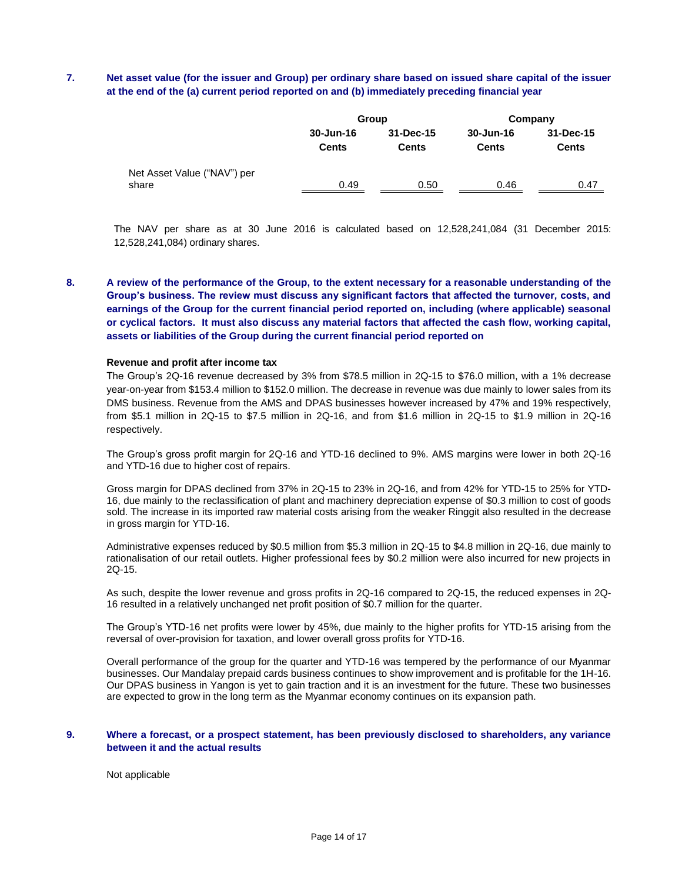## **7. Net asset value (for the issuer and Group) per ordinary share based on issued share capital of the issuer at the end of the (a) current period reported on and (b) immediately preceding financial year**

|                                      |                           | Group                     | Company                   |                           |  |
|--------------------------------------|---------------------------|---------------------------|---------------------------|---------------------------|--|
|                                      | 30-Jun-16<br><b>Cents</b> | 31-Dec-15<br><b>Cents</b> | 30-Jun-16<br><b>Cents</b> | 31-Dec-15<br><b>Cents</b> |  |
| Net Asset Value ("NAV") per<br>share | 0.49                      | 0.50                      | 0.46                      | 0.47                      |  |

The NAV per share as at 30 June 2016 is calculated based on 12,528,241,084 (31 December 2015: 12,528,241,084) ordinary shares.

**8. A review of the performance of the Group, to the extent necessary for a reasonable understanding of the Group's business. The review must discuss any significant factors that affected the turnover, costs, and earnings of the Group for the current financial period reported on, including (where applicable) seasonal or cyclical factors. It must also discuss any material factors that affected the cash flow, working capital, assets or liabilities of the Group during the current financial period reported on**

#### **Revenue and profit after income tax**

The Group's 2Q-16 revenue decreased by 3% from \$78.5 million in 2Q-15 to \$76.0 million, with a 1% decrease year-on-year from \$153.4 million to \$152.0 million. The decrease in revenue was due mainly to lower sales from its DMS business. Revenue from the AMS and DPAS businesses however increased by 47% and 19% respectively, from \$5.1 million in 2Q-15 to \$7.5 million in 2Q-16, and from \$1.6 million in 2Q-15 to \$1.9 million in 2Q-16 respectively.

The Group's gross profit margin for 2Q-16 and YTD-16 declined to 9%. AMS margins were lower in both 2Q-16 and YTD-16 due to higher cost of repairs.

Gross margin for DPAS declined from 37% in 2Q-15 to 23% in 2Q-16, and from 42% for YTD-15 to 25% for YTD-16, due mainly to the reclassification of plant and machinery depreciation expense of \$0.3 million to cost of goods sold. The increase in its imported raw material costs arising from the weaker Ringgit also resulted in the decrease in gross margin for YTD-16.

Administrative expenses reduced by \$0.5 million from \$5.3 million in 2Q-15 to \$4.8 million in 2Q-16, due mainly to rationalisation of our retail outlets. Higher professional fees by \$0.2 million were also incurred for new projects in 2Q-15.

As such, despite the lower revenue and gross profits in 2Q-16 compared to 2Q-15, the reduced expenses in 2Q-16 resulted in a relatively unchanged net profit position of \$0.7 million for the quarter.

The Group's YTD-16 net profits were lower by 45%, due mainly to the higher profits for YTD-15 arising from the reversal of over-provision for taxation, and lower overall gross profits for YTD-16.

Overall performance of the group for the quarter and YTD-16 was tempered by the performance of our Myanmar businesses. Our Mandalay prepaid cards business continues to show improvement and is profitable for the 1H-16. Our DPAS business in Yangon is yet to gain traction and it is an investment for the future. These two businesses are expected to grow in the long term as the Myanmar economy continues on its expansion path.

#### **9. Where a forecast, or a prospect statement, has been previously disclosed to shareholders, any variance between it and the actual results**

Not applicable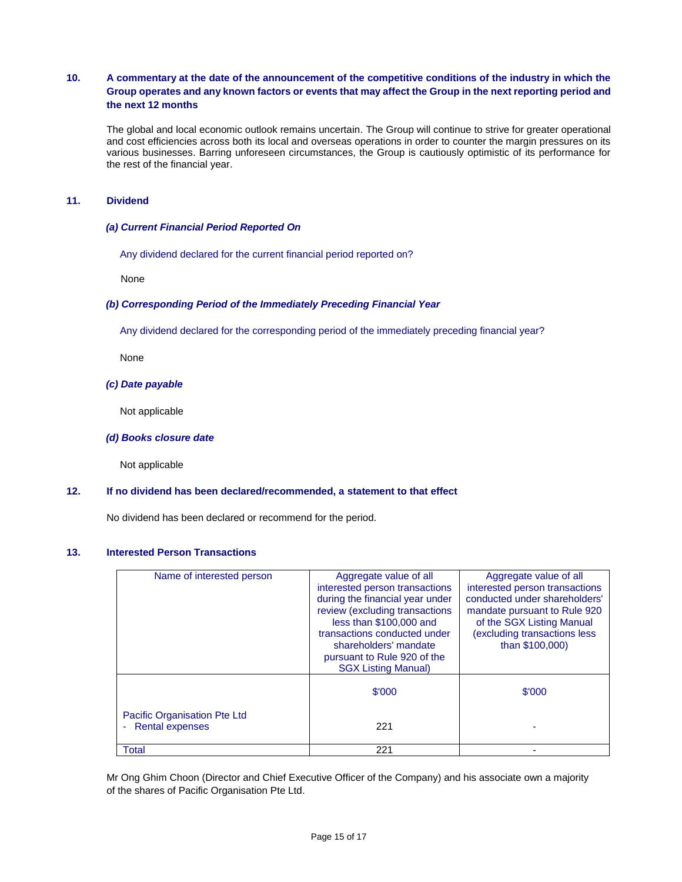## **10. A commentary at the date of the announcement of the competitive conditions of the industry in which the Group operates and any known factors or events that may affect the Group in the next reporting period and the next 12 months**

The global and local economic outlook remains uncertain. The Group will continue to strive for greater operational and cost efficiencies across both its local and overseas operations in order to counter the margin pressures on its various businesses. Barring unforeseen circumstances, the Group is cautiously optimistic of its performance for the rest of the financial year.

### **11. Dividend**

### *(a) Current Financial Period Reported On*

Any dividend declared for the current financial period reported on?

None

### *(b) Corresponding Period of the Immediately Preceding Financial Year*

Any dividend declared for the corresponding period of the immediately preceding financial year?

None

### *(c) Date payable*

Not applicable

#### *(d) Books closure date*

Not applicable

### **12. If no dividend has been declared/recommended, a statement to that effect**

No dividend has been declared or recommend for the period.

# **13. Interested Person Transactions**

| Name of interested person                         | Aggregate value of all<br>interested person transactions<br>during the financial year under<br>review (excluding transactions<br>less than \$100,000 and<br>transactions conducted under | Aggregate value of all<br>interested person transactions<br>conducted under shareholders'<br>mandate pursuant to Rule 920<br>of the SGX Listing Manual<br>(excluding transactions less |
|---------------------------------------------------|------------------------------------------------------------------------------------------------------------------------------------------------------------------------------------------|----------------------------------------------------------------------------------------------------------------------------------------------------------------------------------------|
|                                                   | shareholders' mandate<br>pursuant to Rule 920 of the<br><b>SGX Listing Manual)</b>                                                                                                       | than \$100,000)                                                                                                                                                                        |
|                                                   | \$'000                                                                                                                                                                                   | \$'000                                                                                                                                                                                 |
| Pacific Organisation Pte Ltd<br>- Rental expenses | 221                                                                                                                                                                                      |                                                                                                                                                                                        |
| <b>Total</b>                                      | 221                                                                                                                                                                                      |                                                                                                                                                                                        |

Mr Ong Ghim Choon (Director and Chief Executive Officer of the Company) and his associate own a majority of the shares of Pacific Organisation Pte Ltd.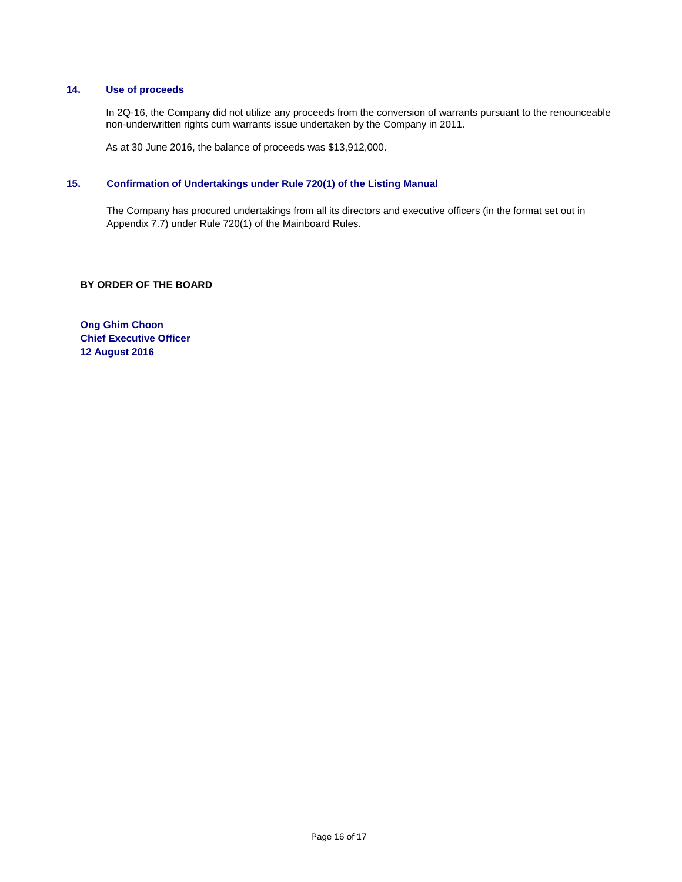### **14. Use of proceeds**

In 2Q-16, the Company did not utilize any proceeds from the conversion of warrants pursuant to the renounceable non-underwritten rights cum warrants issue undertaken by the Company in 2011.

As at 30 June 2016, the balance of proceeds was \$13,912,000.

# **15. Confirmation of Undertakings under Rule 720(1) of the Listing Manual**

The Company has procured undertakings from all its directors and executive officers (in the format set out in Appendix 7.7) under Rule 720(1) of the Mainboard Rules.

### **BY ORDER OF THE BOARD**

**Ong Ghim Choon Chief Executive Officer 12 August 2016**